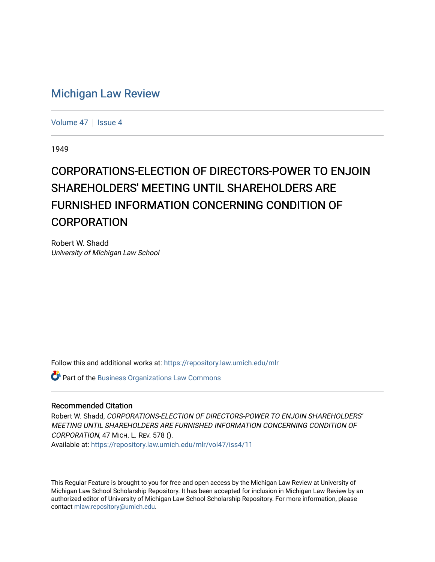## [Michigan Law Review](https://repository.law.umich.edu/mlr)

[Volume 47](https://repository.law.umich.edu/mlr/vol47) | [Issue 4](https://repository.law.umich.edu/mlr/vol47/iss4)

1949

## CORPORATIONS-ELECTION OF DIRECTORS-POWER TO ENJOIN SHAREHOLDERS' MEETING UNTIL SHAREHOLDERS ARE FURNISHED INFORMATION CONCERNING CONDITION OF CORPORATION

Robert W. Shadd University of Michigan Law School

Follow this and additional works at: [https://repository.law.umich.edu/mlr](https://repository.law.umich.edu/mlr?utm_source=repository.law.umich.edu%2Fmlr%2Fvol47%2Fiss4%2F11&utm_medium=PDF&utm_campaign=PDFCoverPages) 

Part of the [Business Organizations Law Commons](http://network.bepress.com/hgg/discipline/900?utm_source=repository.law.umich.edu%2Fmlr%2Fvol47%2Fiss4%2F11&utm_medium=PDF&utm_campaign=PDFCoverPages)

## Recommended Citation

Robert W. Shadd, CORPORATIONS-ELECTION OF DIRECTORS-POWER TO ENJOIN SHAREHOLDERS' MEETING UNTIL SHAREHOLDERS ARE FURNISHED INFORMATION CONCERNING CONDITION OF CORPORATION, 47 MICH. L. REV. 578 (). Available at: [https://repository.law.umich.edu/mlr/vol47/iss4/11](https://repository.law.umich.edu/mlr/vol47/iss4/11?utm_source=repository.law.umich.edu%2Fmlr%2Fvol47%2Fiss4%2F11&utm_medium=PDF&utm_campaign=PDFCoverPages) 

This Regular Feature is brought to you for free and open access by the Michigan Law Review at University of Michigan Law School Scholarship Repository. It has been accepted for inclusion in Michigan Law Review by an authorized editor of University of Michigan Law School Scholarship Repository. For more information, please contact [mlaw.repository@umich.edu](mailto:mlaw.repository@umich.edu).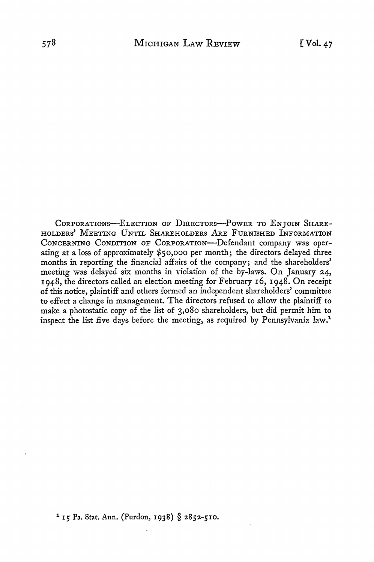CORPORATIONS-ELECTION OF DIRECTORS-POWER TO ENJOIN SHARE-HOLDERS' MEETING UNTIL SHAREHOLDERS ARE FURNISHED INFORMATION CONCERNING CONDITION OF CORPORATION-Defendant company was operating at a loss of approximately \$50,000 per month; the directors delayed three months in reporting the financial affairs of the company; and the shareholders' meeting was delayed six months in violation of the by-laws. On January 24, 1948, the directors called an election meeting for February 16, 1948. On receipt of this notice, plaintiff and others formed an independent shareholders' committee to effect a change in management. The directors refused to allow the plaintiff to make a photostatic copy of the list of 3,080 shareholders, but did permit him to inspect the list five days before the meeting, as required by Pennsylvania law.1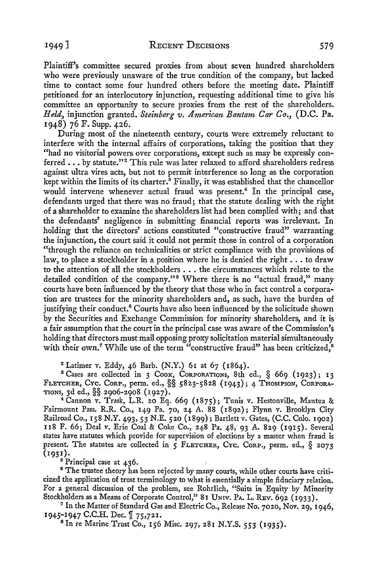Plaintiff's committee secured proxies from about seven hundred shareholders who were previously unaware of the true condition of the company, but lacked time to contact some four hundred others before the meeting date. Plaintiff petitioned for an interlocutory injunction, requesting additional time to give his committee an opportunity to secure proxies from the rest of the shareholders. *Held,* injunction granted. *Steinberg v. American Bantam Car Co.,* (D.C. Pa. 1948) 76 F. Supp. 426.

During most of the nineteenth century, courts were extremely reluctant to interfere with the internal affairs of corporations, taking the position that they "had no visitorial powers over corporations, except such as may be expressly conferred ... by statute."<sup>2</sup> This rule was later relaxed to afford shareholders redress against ultra vires acts, but not to permit interference so long as the corporation kept within the limits of its charter.<sup>3</sup> Finally, it was established that the chancellor would intervene whenever actual fraud was present.<sup>4</sup> In the principal case, defendants urged that there was no fraud; that the statute dealing with the right of a shareholder to examine the shareholders list had been complied with; and that the defendants' negligence in submitting financial reports was irrelevant. In holding that the directors' actions constituted "constructive fraud" warranting the injunction, the court said it could not permit those in control of a corporation "through the reliance on technicalities or strict compliance with the provisions of law, to place a stockholder in a position where he is denied the right  $\dots$  to draw to the attention of all the stockholders ..• the circumstances which relate to the detailed condition of the company."<sup>5</sup> Where there is no "actual fraud," many courts have been influenced by the theory that those who in fact control a corporation are trustees for the minority shareholders and, as such, have the burden of justifying their conduct.<sup>6</sup> Courts have also been influenced by the solicitude shown by the Securities and Exchange Commission for minority shareholders, and it is a fair assumption that the court in the principal case was aware of the Commission's holding that directors must mail opposing proxy solicitation material simultaneously with their own.<sup>7</sup> While use of the term "constructive fraud" has been criticized.<sup>8</sup>

2 Latimer *v.* Eddy, 46 Barb. (N.Y.) 61 at 67 (1864).

<sup>3</sup> Cases are collected in 3 COOK, CORPORATIONS, 8th ed., § 669 (1923); 13 FLETCHER, CYc. CoRP., perm. ed., §§ 5823-5828 (1943); 4 THOMPSON, CoRPoRA-TioNs, 3d ed., §§ 2906-2908 (1927).

<sup>4</sup>Cannon *v.* Trask, L.R. 20 Eq. 669 (1875); Tunis v. Hestonville, Mantua & Fairmount Pass. R.R. Co., 149 Pa. 70, 24 A. 88 (1892); Flynn v. Brooklyn City Railroad Co., 158 N.Y. 493, 53 N.E. 520 (1899); Bartlett v. Gates, (C.C. Colo. 1902) 118 F. 66; Deal *v.* Erie Coal & Coke Co., 24.8 Pa. 48, 93 A. 829 (1915). Several states have statutes which provide for supervision of elections by a master when fraud is present. The statutes are collected in 5 FLETCHER, CYC. CORP., perm. ed., § 2073 (1931).

<sup>5</sup> Principal case at 436.

<sup>6</sup> The trustee theory has been rejected by many courts, while other courts have criticized the application of trust terminology to what is essentially a simple fiduciary relation. For a general discussion of the problem, see Rohrlich, "Suits in Equity by Minority Stockholders as a Means of Corporate Control," 81 UNIV. PA. L. REV. 692 (1933).

 $^7$  In the Matter of Standard Gas and Electric Co., Release No. 7020, Nov. 29, 1946, 1945-1947 C.C.H. Dec.  $\parallel$  75,721.<br><sup>8</sup> In re Marine Trust Co., 156 Misc. 297, 281 N.Y.S. 553 (1935).